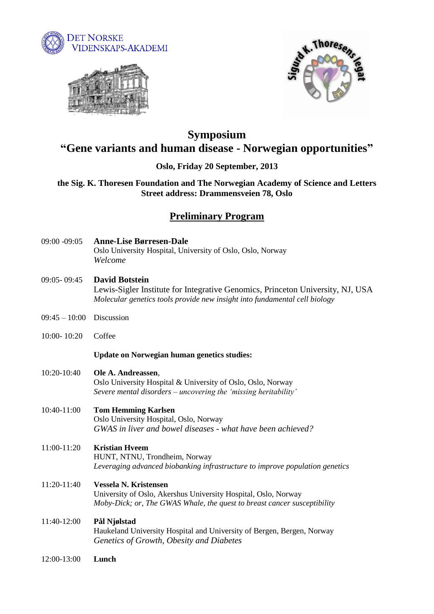





# **Symposium "Gene variants and human disease - Norwegian opportunities"**

# **Oslo, Friday 20 September, 2013**

**the Sig. K. Thoresen Foundation and The Norwegian Academy of Science and Letters Street address: Drammensveien 78, Oslo**

# **Preliminary Program**

- 09:00 -09:05 **Anne-Lise Børresen-Dale** Oslo University Hospital, University of Oslo, Oslo, Norway *Welcome*
- 09:05- 09:45 **David Botstein** Lewis-Sigler Institute for Integrative Genomics, Princeton University, NJ, USA *Molecular genetics tools provide new insight into fundamental cell biology*
- 09:45 10:00 Discussion
- 10:00- 10:20 Coffee

## **Update on Norwegian human genetics studies:**

10:20-10:40 **Ole A. Andreassen**, Oslo University Hospital & University of Oslo, Oslo, Norway *Severe mental disorders – uncovering the 'missing heritability'*

## 10:40-11:00 **Tom Hemming Karlsen** Oslo University Hospital, Oslo, Norway *GWAS in liver and bowel diseases - what have been achieved?*

### 11:00-11:20 **Kristian Hveem** HUNT, NTNU, Trondheim, Norway *Leveraging advanced biobanking infrastructure to improve population genetics*

11:20-11:40 **Vessela N. Kristensen** University of Oslo, Akershus University Hospital, Oslo, Norway *Moby-Dick; or, The GWAS Whale, the quest to breast cancer susceptibility*

# 11:40-12:00 **Pål Njølstad**

Haukeland University Hospital and University of Bergen, Bergen, Norway *Genetics of Growth, Obesity and Diabetes*

12:00-13:00 **Lunch**